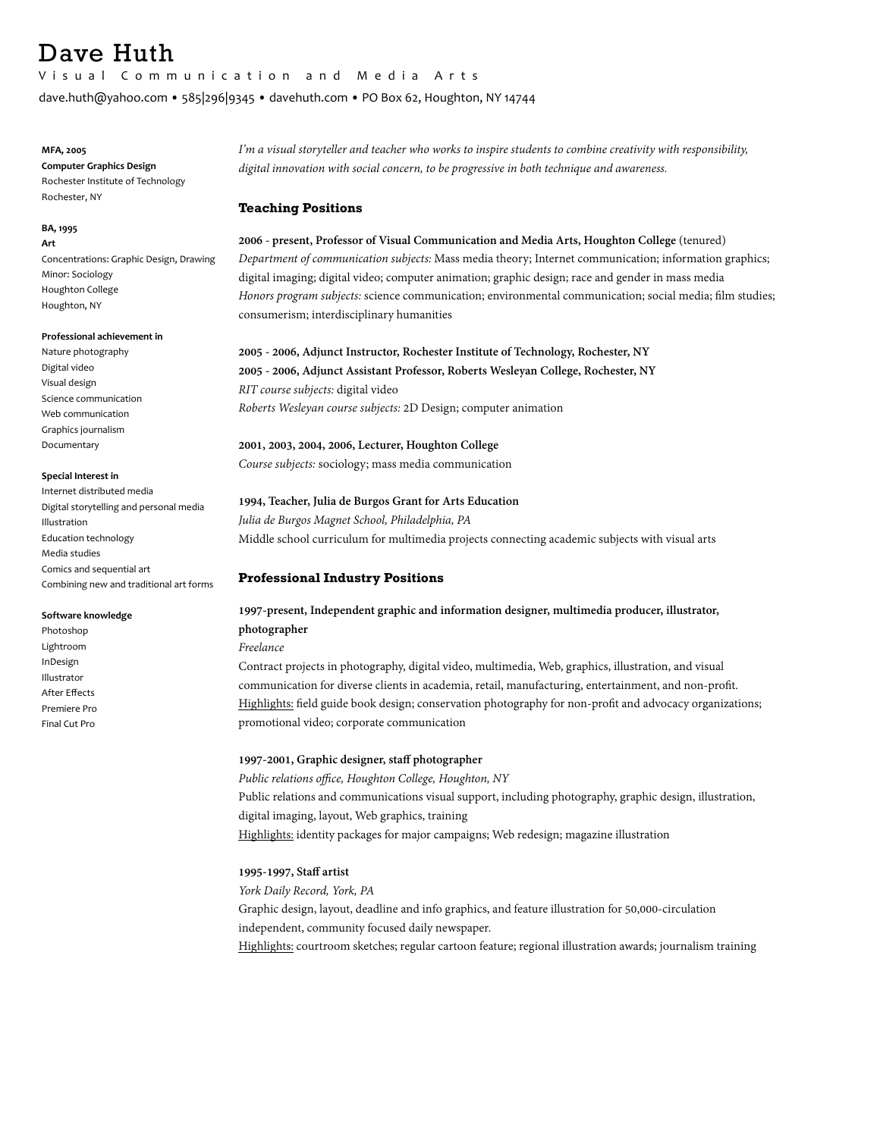# Dave Huth

Visual Communication and Media Arts 

dave.huth@yahoo.com • 585|296|9345 • davehuth.com • PO Box 62, Houghton, NY 14744

## **MFA, 2005**

**Computer Graphics Design** Rochester Institute of Technology Rochester, NY

#### **BA, 1995 Art**

Concentrations: Graphic Design, Drawing Minor: Sociology Houghton College Houghton, NY

## **Professional achievement in**

Nature photography Digital video Visual design Science communication Web communication Graphics iournalism Documentary 

## **Special Interest in**

Internet distributed media Digital storytelling and personal media Illustration Education technology Media studies Comics and sequential art Combining new and traditional art forms

## **Software knowledge**

Photoshop Lightroom InDesign Illustrator **After Effects** Premiere Pro Final Cut Pro

*I'm a visual storyteller and teacher who works to inspire students to combine creativity with responsibility, digital innovation with social concern, to be progressive in both technique and awareness.* 

## **Teaching Positions**

**2006 - present, Professor of Visual Communication and Media Arts, Houghton College** (tenured) *Department of communication subjects:* Mass media theory; Internet communication; information graphics; digital imaging; digital video; computer animation; graphic design; race and gender in mass media *Honors program subjects:* science communication; environmental communication; social media; film studies; consumerism; interdisciplinary humanities

## **2005 - 2006, Adjunct Instructor, Rochester Institute of Technology, Rochester, NY 2005 - 2006, Adjunct Assistant Professor, Roberts Wesleyan College, Rochester, NY** *RIT course subjects:* digital video *Roberts Wesleyan course subjects:* 2D Design; computer animation

## **2001, 2003, 2004, 2006, Lecturer, Houghton College**

*Course subjects:* sociology; mass media communication

## **1994, Teacher, Julia de Burgos Grant for Arts Education**

*Julia de Burgos Magnet School, Philadelphia, PA* Middle school curriculum for multimedia projects connecting academic subjects with visual arts

## **Professional Industry Positions**

## **1997-present, Independent graphic and information designer, multimedia producer, illustrator, photographer**

*Freelance*

Contract projects in photography, digital video, multimedia, Web, graphics, illustration, and visual communication for diverse clients in academia, retail, manufacturing, entertainment, and non-profit. Highlights: field guide book design; conservation photography for non-profit and advocacy organizations; promotional video; corporate communication

## **1997-2001, Graphic designer, staff photographer**

*Public relations office, Houghton College, Houghton, NY*  Public relations and communications visual support, including photography, graphic design, illustration, digital imaging, layout, Web graphics, training Highlights: identity packages for major campaigns; Web redesign; magazine illustration

## **1995-1997, Staff artist**

*York Daily Record, York, PA*  Graphic design, layout, deadline and info graphics, and feature illustration for 50,000-circulation independent, community focused daily newspaper. Highlights: courtroom sketches; regular cartoon feature; regional illustration awards; journalism training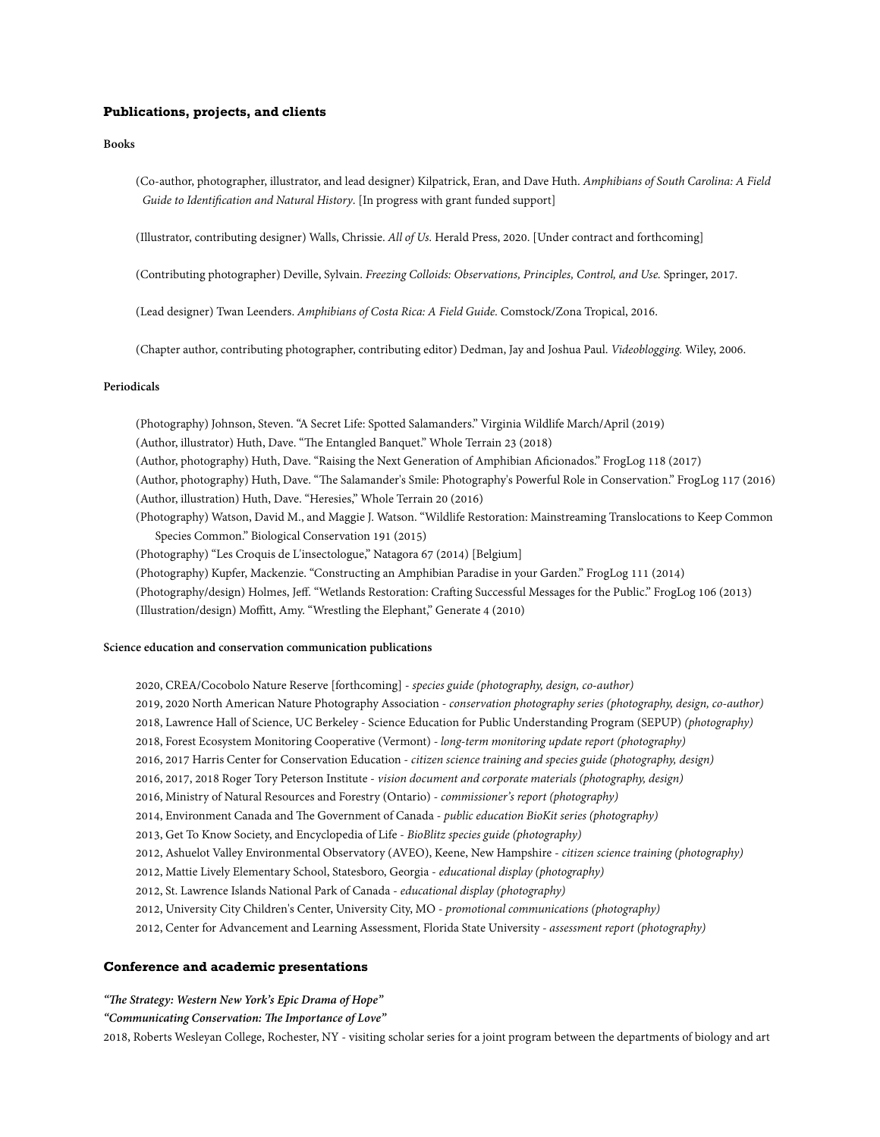#### **Publications, projects, and clients**

**Books** 

(Co-author, photographer, illustrator, and lead designer) Kilpatrick, Eran, and Dave Huth. *Amphibians of South Carolina: A Field Guide to Identification and Natural History*. [In progress with grant funded support]

(Illustrator, contributing designer) Walls, Chrissie. *All of Us.* Herald Press, 2020. [Under contract and forthcoming]

(Contributing photographer) Deville, Sylvain. *Freezing Colloids: Observations, Principles, Control, and Use.* Springer, 2017.

(Lead designer) Twan Leenders. *Amphibians of Costa Rica: A Field Guide.* Comstock/Zona Tropical, 2016.

(Chapter author, contributing photographer, contributing editor) Dedman, Jay and Joshua Paul. *Videoblogging.* Wiley, 2006.

## **Periodicals**

(Photography) Johnson, Steven. "A Secret Life: Spotted Salamanders." Virginia Wildlife March/April (2019) (Author, illustrator) Huth, Dave. "The Entangled Banquet." Whole Terrain 23 (2018) (Author, photography) Huth, Dave. "Raising the Next Generation of Amphibian Aficionados." FrogLog 118 (2017) (Author, photography) Huth, Dave. "Te Salamander's Smile: Photography's Powerful Role in Conservation." FrogLog 117 (2016) (Author, illustration) Huth, Dave. "Heresies," Whole Terrain 20 (2016) (Photography) Watson, David M., and Maggie J. Watson. "Wildlife Restoration: Mainstreaming Translocations to Keep Common Species Common." Biological Conservation 191 (2015) (Photography) "Les Croquis de L'insectologue," Natagora 67 (2014) [Belgium] (Photography) Kupfer, Mackenzie. "Constructing an Amphibian Paradise in your Garden." FrogLog 111 (2014) (Photography/design) Holmes, Jeff. "Wetlands Restoration: Crafing Successful Messages for the Public." FrogLog 106 (2013) (Illustration/design) Moffitt, Amy. "Wrestling the Elephant," Generate 4 (2010)

## **Science education and conservation communication publications**

2020, CREA/Cocobolo Nature Reserve [forthcoming] - *species guide (photography, design, co-author)* 2019, 2020 North American Nature Photography Association - *conservation photography series (photography, design, co-author)*  2018, Lawrence Hall of Science, UC Berkeley - Science Education for Public Understanding Program (SEPUP) *(photography)* 2018, Forest Ecosystem Monitoring Cooperative (Vermont) *- long-term monitoring update report (photography)* 2016, 2017 Harris Center for Conservation Education - *citizen science training and species guide (photography, design)* 2016, 2017, 2018 Roger Tory Peterson Institute - *vision document and corporate materials (photography, design)* 2016, Ministry of Natural Resources and Forestry (Ontario) - *commissioner's report (photography)* 2014, Environment Canada and The Government of Canada - *public education BioKit series* (photography) 2013, Get To Know Society, and Encyclopedia of Life - *BioBlitz species guide (photography)* 2012, Ashuelot Valley Environmental Observatory (AVEO), Keene, New Hampshire - *citizen science training (photography)* 2012, Mattie Lively Elementary School, Statesboro, Georgia - *educational display (photography)* 2012, St. Lawrence Islands National Park of Canada - *educational display (photography)* 2012, University City Children's Center, University City, MO - *promotional communications (photography)* 2012, Center for Advancement and Learning Assessment, Florida State University *- assessment report (photography)*

## **Conference and academic presentations**

*"Te Strategy: Western New York's Epic Drama of Hope"*

*"Communicating Conservation: Te Importance of Love"*

2018, Roberts Wesleyan College, Rochester, NY - visiting scholar series for a joint program between the departments of biology and art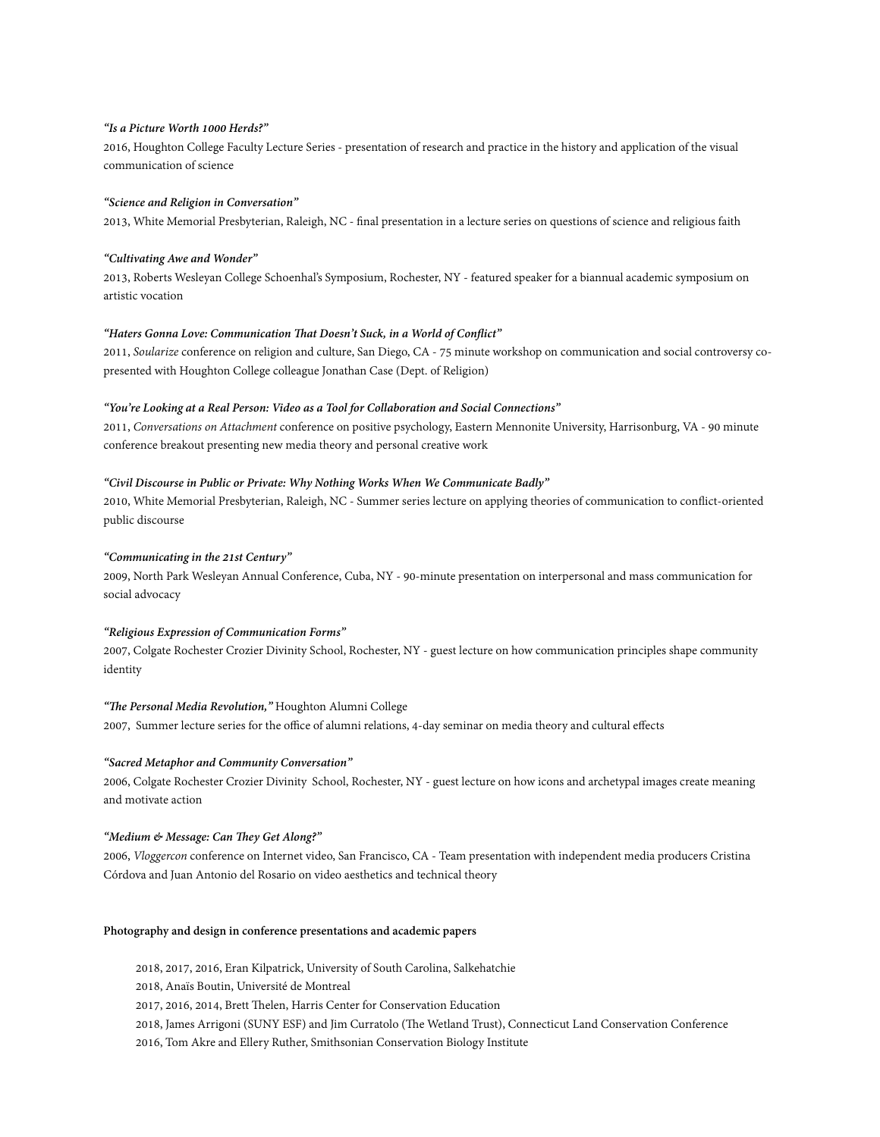## *"Is a Picture Worth 1000 Herds?"*

2016, Houghton College Faculty Lecture Series - presentation of research and practice in the history and application of the visual communication of science

## *"Science and Religion in Conversation"*

2013, White Memorial Presbyterian, Raleigh, NC - final presentation in a lecture series on questions of science and religious faith

## *"Cultivating Awe and Wonder"*

2013, Roberts Wesleyan College Schoenhal's Symposium, Rochester, NY - featured speaker for a biannual academic symposium on artistic vocation

## *"[Haters Gonna Love: Communication](http://soularize2011.sched.org/event/06008a0a70bec034ed6470fb1ef91e0a) Tat Doesn't Suck, in a World of Conflict"*

2011, *Soularize* conference on religion and culture, San Diego, CA - 75 minute workshop on communication and social controversy copresented with Houghton College colleague Jonathan Case (Dept. of Religion)

#### *"You'[re Looking at a Real Person: Video as a Tool for Collaboration and Social Connections](http://emu.edu/attachment/schedule/breakout-sessions/#10)"*

2011, *Conversations on Attachment* conference on positive psychology, Eastern Mennonite University, Harrisonburg, VA - 90 minute conference breakout presenting new media theory and personal creative work

## *"Civil Discourse in Public or Private: Why Nothing Works When We Communicate Badly"*

2010, White Memorial Presbyterian, Raleigh, NC - Summer series lecture on applying theories of communication to conflict-oriented public discourse

## *"Communicating in the 21st Century"*

2009, North Park Wesleyan Annual Conference, Cuba, NY - 90-minute presentation on interpersonal and mass communication for social advocacy

## *"Religious Expression of Communication Forms"*

2007, Colgate Rochester Crozier Divinity School, Rochester, NY - guest lecture on how communication principles shape community identity

## *"Te Personal Media Revolution,"* Houghton Alumni College

2007, Summer lecture series for the office of alumni relations, 4-day seminar on media theory and cultural effects

### *"Sacred Metaphor and Community Conversation"*

2006, Colgate Rochester Crozier Divinity School, Rochester, NY - guest lecture on how icons and archetypal images create meaning and motivate action

## *"Medium & Message: Can Tey Get Along?"*

2006, *Vloggercon* conference on Internet video, San Francisco, CA - Team presentation with independent media producers Cristina Córdova and Juan Antonio del Rosario on video aesthetics and technical theory

## **Photography and design in conference presentations and academic papers**

2018, 2017, 2016, Eran Kilpatrick, University of South Carolina, Salkehatchie 2018, Anaïs Boutin, Université de Montreal 2017, 2016, 2014, Brett Thelen, Harris Center for Conservation Education 2018, James Arrigoni (SUNY ESF) and Jim Curratolo (The Wetland Trust), Connecticut Land Conservation Conference 2016, Tom Akre and Ellery Ruther, Smithsonian Conservation Biology Institute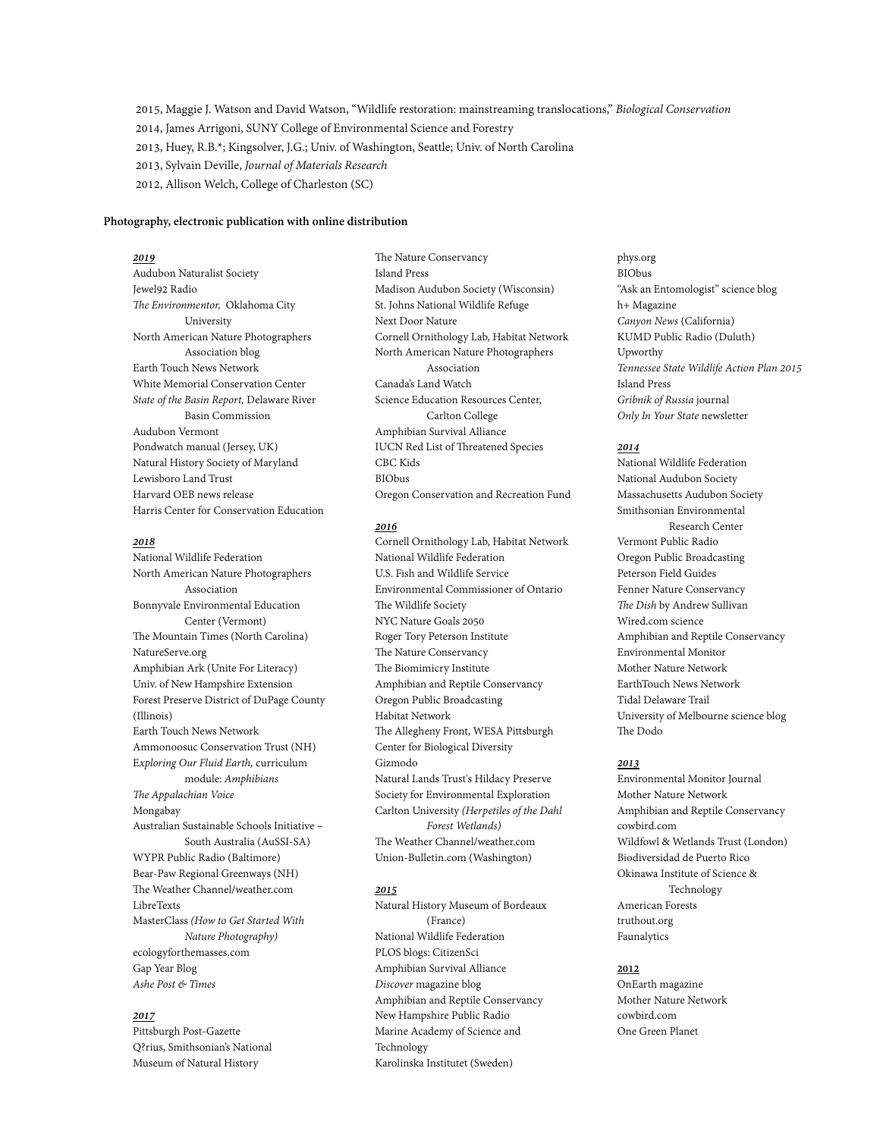2015, Maggie J. Watson and David Watson, "Wildlife restoration: mainstreaming translocations," *Biological Conservation* 2014, James Arrigoni, SUNY College of Environmental Science and Forestry 2013, Huey, R.B.\*; Kingsolver, J.G.; Univ. of Washington, Seattle; Univ. of North Carolina 2013, Sylvain Deville, *Journal of Materials Research* 2012, Allison Welch, College of Charleston (SC)

## **Photography, electronic publication with online distribution**

## *2019*

Audubon Naturalist Society Jewel92 Radio *Te Environmentor,* Oklahoma City University North American Nature Photographers Association blog Earth Touch News Network White Memorial Conservation Center *State of the Basin Report,* Delaware River Basin Commission Audubon Vermont Pondwatch manual (Jersey, UK) Natural History Society of Maryland Lewisboro Land Trust Harvard OEB news release Harris Center for Conservation Education

## *2018*

National Wildlife Federation North American Nature Photographers Association Bonnyvale Environmental Education Center (Vermont) The Mountain Times (North Carolina) NatureServe.org Amphibian Ark (Unite For Literacy) Univ. of New Hampshire Extension Forest Preserve District of DuPage County (Illinois) Earth Touch News Network Ammonoosuc Conservation Trust (NH) E*xploring Our Fluid Earth,* curriculum module: *Amphibians Te Appalachian Voice*  Mongabay Australian Sustainable Schools Initiative – South Australia (AuSSI-SA) WYPR Public Radio (Baltimore) Bear-Paw Regional Greenways (NH) The Weather Channel/weather.com LibreTexts MasterClass *(How to Get Started With Nature Photography)* ecologyforthemasses.com Gap Year Blog *Ashe Post & Times* 

## *2017*

Pittsburgh Post-Gazette Q?rius, Smithsonian's National Museum of Natural History

The Nature Conservancy Island Press Madison Audubon Society (Wisconsin) St. Johns National Wildlife Refuge Next Door Nature Cornell Ornithology Lab, Habitat Network North American Nature Photographers Association Canada's Land Watch Science Education Resources Center, Carlton College Amphibian Survival Alliance IUCN Red List of Threatened Species CBC Kids BIObus Oregon Conservation and Recreation Fund

#### *2016*

Cornell Ornithology Lab, Habitat Network National Wildlife Federation U.S. Fish and Wildlife Service Environmental Commissioner of Ontario The Wildlife Society NYC Nature Goals 2050 Roger Tory Peterson Institute The Nature Conservancy The Biomimicry Institute Amphibian and Reptile Conservancy Oregon Public Broadcasting Habitat Network The Allegheny Front, WESA Pittsburgh Center for Biological Diversity Gizmodo Natural Lands Trust's Hildacy Preserve Society for Environmental Exploration Carlton University *(Herpetiles of the Dahl Forest Wetlands)* The Weather Channel/weather.com Union-Bulletin.com (Washington)

#### *2015*

Natural History Museum of Bordeaux (France) National Wildlife Federation PLOS blogs: CitizenSci Amphibian Survival Alliance *Discover* magazine blog Amphibian and Reptile Conservancy New Hampshire Public Radio Marine Academy of Science and Technology Karolinska Institutet (Sweden)

phys.org BIObus "Ask an Entomologist" science blog h+ Magazine *Canyon News* (California) KUMD Public Radio (Duluth) Upworthy *Tennessee State Wildlife Action Plan 2015* Island Press *Gribnik of Russia* journal *Only In Your State* newsletter

## *2014*

National Wildlife Federation National Audubon Society Massachusetts Audubon Society Smithsonian Environmental Research Center Vermont Public Radio Oregon Public Broadcasting Peterson Field Guides Fenner Nature Conservancy *Te Dish* by Andrew Sullivan Wired.com science Amphibian and Reptile Conservancy Environmental Monitor Mother Nature Network EarthTouch News Network Tidal Delaware Trail University of Melbourne science blog The Dodo

#### *2013*

Environmental Monitor Journal Mother Nature Network Amphibian and Reptile Conservancy cowbird.com Wildfowl & Wetlands Trust (London) Biodiversidad de Puerto Rico Okinawa Institute of Science & Technology American Forests truthout.org Faunalytics

## **2012**

OnEarth magazine Mother Nature Network cowbird.com One Green Planet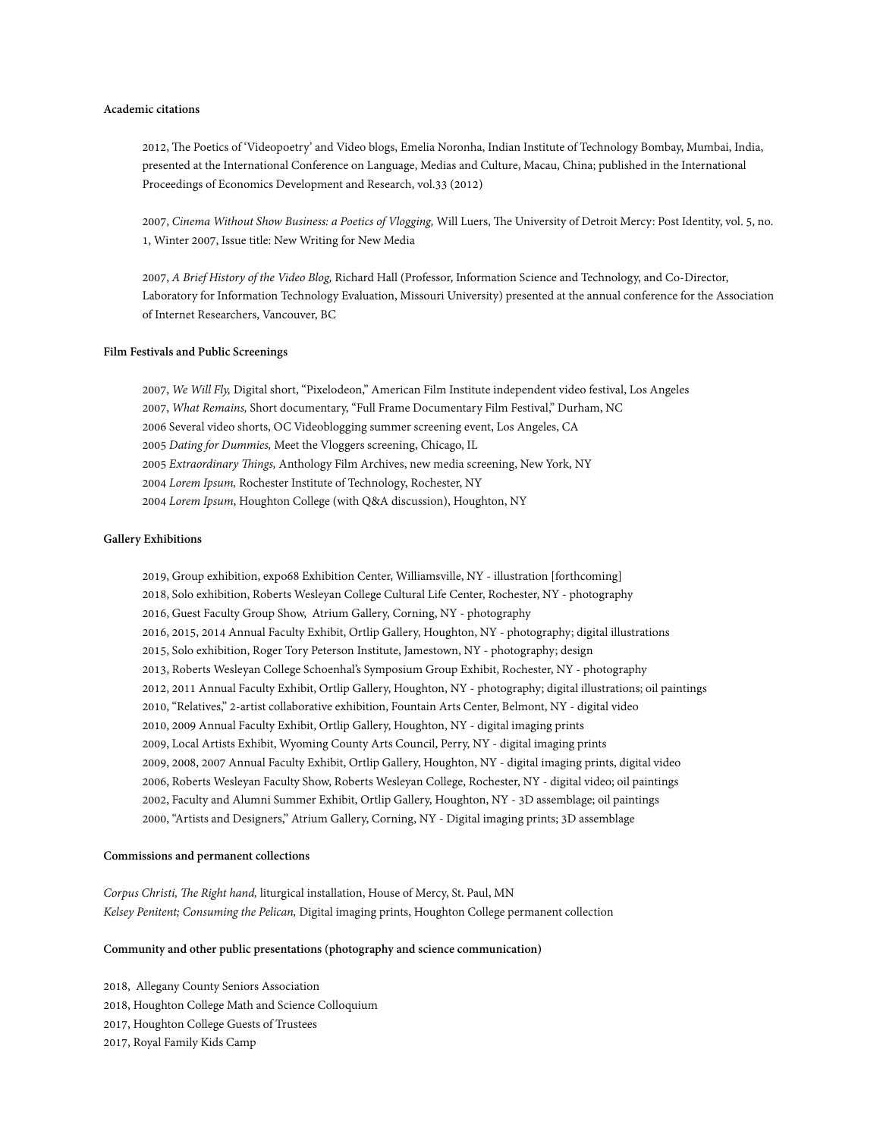## **Academic citations**

2012, The Poetics of 'Videopoetry' and Video blogs, Emelia Noronha, Indian Institute of Technology Bombay, Mumbai, India, presented at the International Conference on Language, Medias and Culture, Macau, China; published in the International Proceedings of Economics Development and Research, vol.33 (2012)

2007, Cinema Without Show Business: a Poetics of Vlogging, Will Luers, The University of Detroit Mercy: Post Identity, vol. 5, no. 1, Winter 2007, Issue title: New Writing for New Media

2007, *A Brief History of the Video Blog,* Richard Hall (Professor, Information Science and Technology, and Co-Director, Laboratory for Information Technology Evaluation, Missouri University) presented at the annual conference for the Association of Internet Researchers, Vancouver, BC

## **Film Festivals and Public Screenings**

2007, *We Will Fly,* Digital short, "Pixelodeon," American Film Institute independent video festival, Los Angeles 2007, *What Remains,* Short documentary, "Full Frame Documentary Film Festival," Durham, NC 2006 Several video shorts, OC Videoblogging summer screening event, Los Angeles, CA 2005 *Dating for Dummies,* Meet the Vloggers screening, Chicago, IL 2005 *Extraordinary Tings,* Anthology Film Archives, new media screening, New York, NY 2004 *Lorem Ipsum,* Rochester Institute of Technology, Rochester, NY 2004 *Lorem Ipsum*, Houghton College (with Q&A discussion), Houghton, NY

## **Gallery Exhibitions**

2019, Group exhibition, expo68 Exhibition Center, Williamsville, NY - illustration [forthcoming] 2018, Solo exhibition, Roberts Wesleyan College Cultural Life Center, Rochester, NY - photography 2016, Guest Faculty Group Show, Atrium Gallery, Corning, NY - photography 2016, 2015, 2014 Annual Faculty Exhibit, Ortlip Gallery, Houghton, NY - photography; digital illustrations 2015, Solo exhibition, Roger Tory Peterson Institute, Jamestown, NY - photography; design 2013, Roberts Wesleyan College Schoenhal's Symposium Group Exhibit, Rochester, NY - photography 2012, 2011 Annual Faculty Exhibit, Ortlip Gallery, Houghton, NY - photography; digital illustrations; oil paintings 2010, "Relatives," 2-artist collaborative exhibition, Fountain Arts Center, Belmont, NY - digital video 2010, 2009 Annual Faculty Exhibit, Ortlip Gallery, Houghton, NY - digital imaging prints 2009, Local Artists Exhibit, Wyoming County Arts Council, Perry, NY - digital imaging prints 2009, 2008, 2007 Annual Faculty Exhibit, Ortlip Gallery, Houghton, NY - digital imaging prints, digital video 2006, Roberts Wesleyan Faculty Show, Roberts Wesleyan College, Rochester, NY - digital video; oil paintings 2002, Faculty and Alumni Summer Exhibit, Ortlip Gallery, Houghton, NY - 3D assemblage; oil paintings 2000, "Artists and Designers," Atrium Gallery, Corning, NY - Digital imaging prints; 3D assemblage

#### **Commissions and permanent collections**

*Corpus Christi, Te Right hand,* liturgical installation, House of Mercy, St. Paul, MN *Kelsey Penitent; Consuming the Pelican,* Digital imaging prints, Houghton College permanent collection

## **Community and other public presentations (photography and science communication)**

2018, Allegany County Seniors Association 2018, Houghton College Math and Science Colloquium 2017, Houghton College Guests of Trustees 2017, Royal Family Kids Camp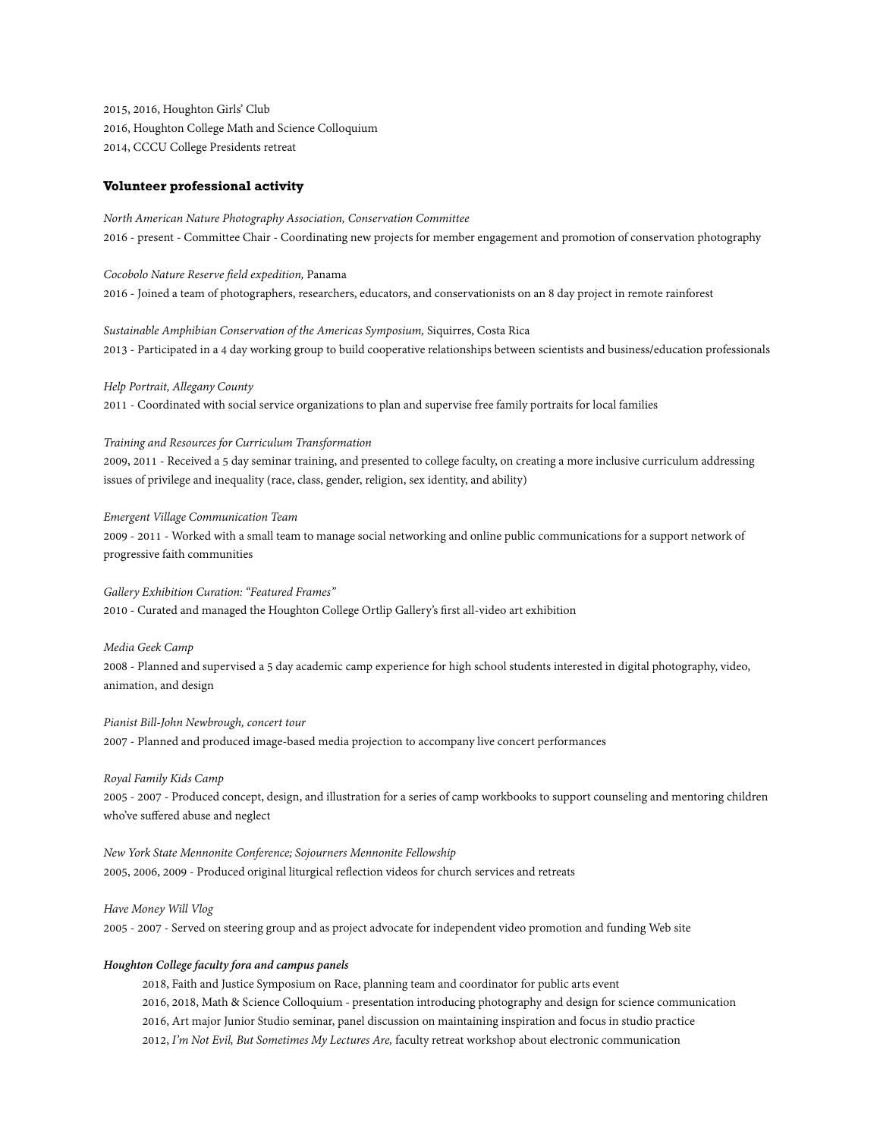2015, 2016, Houghton Girls' Club 2016, Houghton College Math and Science Colloquium 2014, CCCU College Presidents retreat

## **Volunteer professional activity**

*North American Nature Photography Association, Conservation Committee* 2016 - present - Committee Chair - Coordinating new projects for member engagement and promotion of conservation photography

## *Cocobolo Nature Reserve field expedition,* Panama 2016 - Joined a team of photographers, researchers, educators, and conservationists on an 8 day project in remote rainforest

*Sustainable Amphibian Conservation of the Americas Symposium,* Siquirres, Costa Rica 2013 - Participated in a 4 day working group to build cooperative relationships between scientists and business/education professionals

*Help Portrait, Allegany County* 

2011 - Coordinated with social service organizations to plan and supervise free family portraits for local families

#### *Training and Resources for Curriculum Transformation*

2009, 2011 - Received a 5 day seminar training, and presented to college faculty, on creating a more inclusive curriculum addressing issues of privilege and inequality (race, class, gender, religion, sex identity, and ability)

#### *Emergent Village Communication Team*

2009 - 2011 - Worked with a small team to manage social networking and online public communications for a support network of progressive faith communities

## *Gallery Exhibition Curation: "Featured Frames"*

2010 - Curated and managed the Houghton College Ortlip Gallery's first all-video art exhibition

## *Media Geek Camp*

2008 - Planned and supervised a 5 day academic camp experience for high school students interested in digital photography, video, animation, and design

*Pianist Bill-John Newbrough, concert tour* 2007 - Planned and produced image-based media projection to accompany live concert performances

*Royal Family Kids Camp* 2005 - 2007 - Produced concept, design, and illustration for a series of camp workbooks to support counseling and mentoring children who've suffered abuse and neglect

*New York State Mennonite Conference; Sojourners Mennonite Fellowship*  2005, 2006, 2009 - Produced original liturgical reflection videos for church services and retreats

## *Have Money Will Vlog*

2005 - 2007 - Served on steering group and as project advocate for independent video promotion and funding Web site

## *Houghton College faculty fora and campus panels*

2018, Faith and Justice Symposium on Race, planning team and coordinator for public arts event 2016, 2018, Math & Science Colloquium *-* presentation introducing photography and design for science communication 2016, Art major Junior Studio seminar, panel discussion on maintaining inspiration and focus in studio practice 2012, *I'm Not Evil, But Sometimes My Lectures Are,* faculty retreat workshop about electronic communication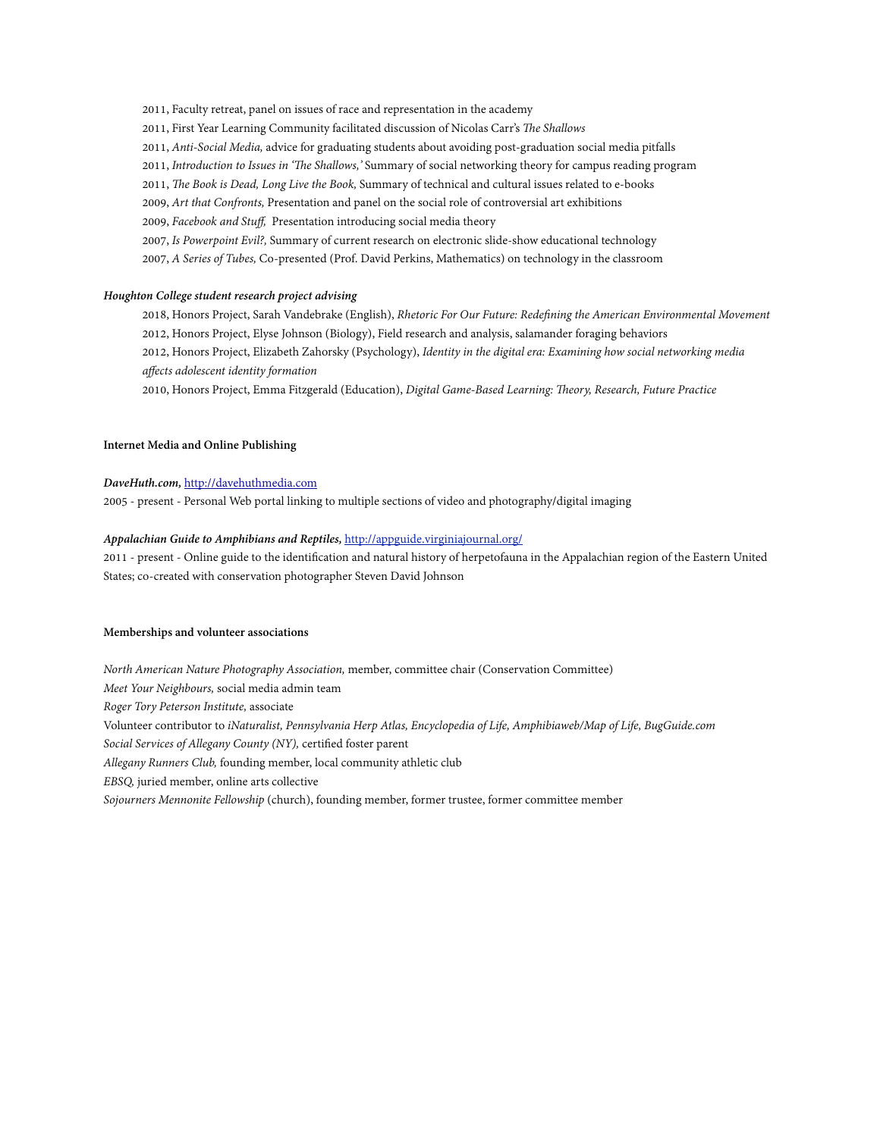2011, Faculty retreat, panel on issues of race and representation in the academy 2011, First Year Learning Community facilitated discussion of Nicolas Carr's *Te Shallows* 2011, *Anti-Social Media,* advice for graduating students about avoiding post-graduation social media pitfalls 2011, *Introduction to Issues in 'Te Shallows,'* Summary of social networking theory for campus reading program 2011, *Te Book is Dead, Long Live the Book,* Summary of technical and cultural issues related to e-books 2009, *Art that Confronts,* Presentation and panel on the social role of controversial art exhibitions 2009, *Facebook and Stuff,* Presentation introducing social media theory 2007, *Is Powerpoint Evil?,* Summary of current research on electronic slide-show educational technology 2007, *A Series of Tubes,* Co-presented (Prof. David Perkins, Mathematics) on technology in the classroom

## *Houghton College student research project advising*

2018, Honors Project, Sarah Vandebrake (English), *Rhetoric For Our Future: Redefining the American Environmental Movement* 2012, Honors Project, Elyse Johnson (Biology), Field research and analysis, salamander foraging behaviors 2012, Honors Project, Elizabeth Zahorsky (Psychology), *Identity in the digital era: Examining how social networking media affects adolescent identity formation* 

2010, Honors Project, Emma Fitzgerald (Education), *Digital Game-Based Learning: Teory, Research, Future Practice*

## **Internet Media and Online Publishing**

## *DaveHuth.com,* <http://davehuthmedia.com>

2005 - present - Personal Web portal linking to multiple sections of video and photography/digital imaging

## *[Appalachian Guide to Amphibians and Reptiles,](http://appguide.virginiajournal.org/)* <http://appguide.virginiajournal.org/>

2011 - present - Online guide to the identification and natural history of herpetofauna in the Appalachian region of the Eastern United States; co-created with conservation photographer Steven David Johnson

## **Memberships and volunteer associations**

*North American Nature Photography Association,* member, committee chair (Conservation Committee) *Meet Your Neighbours,* social media admin team *Roger Tory Peterson Institute,* associate Volunteer contributor to *iNaturalist, Pennsylvania Herp Atlas, Encyclopedia of Life, Amphibiaweb/Map of Life, BugGuide.com Social Services of Allegany County (NY),* certified foster parent *Allegany Runners Club,* founding member, local community athletic club *EBSQ,* juried member, online arts collective *Sojourners Mennonite Fellowship* (church), founding member, former trustee, former committee member